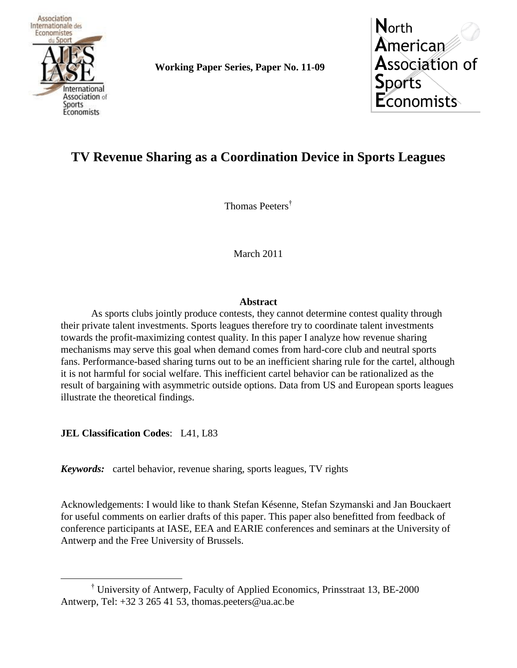

**Working Paper Series, Paper No. 11-09**



# **TV Revenue Sharing as a Coordination Device in Sports Leagues**

Thomas Peeters†

March 2011

## **Abstract**

As sports clubs jointly produce contests, they cannot determine contest quality through their private talent investments. Sports leagues therefore try to coordinate talent investments towards the profit-maximizing contest quality. In this paper I analyze how revenue sharing mechanisms may serve this goal when demand comes from hard-core club and neutral sports fans. Performance-based sharing turns out to be an inefficient sharing rule for the cartel, although it is not harmful for social welfare. This inefficient cartel behavior can be rationalized as the result of bargaining with asymmetric outside options. Data from US and European sports leagues illustrate the theoretical findings.

**JEL Classification Codes: L41, L83** 

 $\overline{a}$ 

*Keywords:* cartel behavior, revenue sharing, sports leagues, TV rights

Acknowledgements: I would like to thank Stefan Késenne, Stefan Szymanski and Jan Bouckaert for useful comments on earlier drafts of this paper. This paper also benefitted from feedback of conference participants at IASE, EEA and EARIE conferences and seminars at the University of Antwerp and the Free University of Brussels.

<sup>†</sup> University of Antwerp, Faculty of Applied Economics, Prinsstraat 13, BE-2000 Antwerp, Tel:  $+32$  3 265 41 53, thomas.peeters@ua.ac.be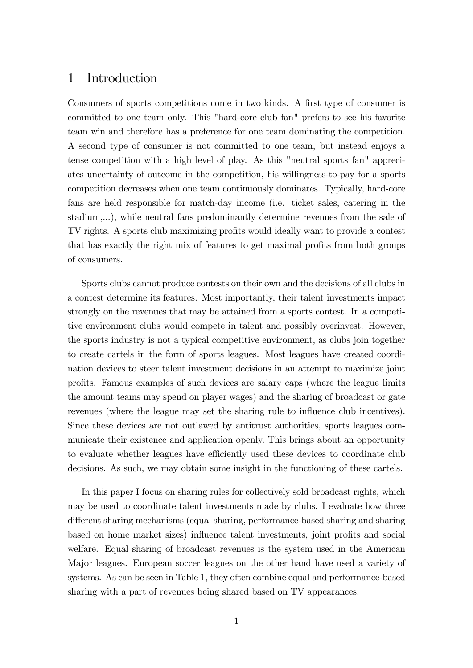## 1 Introduction

Consumers of sports competitions come in two kinds. A first type of consumer is committed to one team only. This "hard-core club fan" prefers to see his favorite team win and therefore has a preference for one team dominating the competition. A second type of consumer is not committed to one team, but instead enjoys a tense competition with a high level of play. As this "neutral sports fan" appreciates uncertainty of outcome in the competition, his willingness-to-pay for a sports competition decreases when one team continuously dominates. Typically, hard-core fans are held responsible for match-day income (i.e. ticket sales, catering in the stadium,...), while neutral fans predominantly determine revenues from the sale of TV rights. A sports club maximizing profits would ideally want to provide a contest that has exactly the right mix of features to get maximal profits from both groups of consumers.

Sports clubs cannot produce contests on their own and the decisions of all clubs in a contest determine its features. Most importantly, their talent investments impact strongly on the revenues that may be attained from a sports contest. In a competitive environment clubs would compete in talent and possibly overinvest. However, the sports industry is not a typical competitive environment, as clubs join together to create cartels in the form of sports leagues. Most leagues have created coordination devices to steer talent investment decisions in an attempt to maximize joint profits. Famous examples of such devices are salary caps (where the league limits the amount teams may spend on player wages) and the sharing of broadcast or gate revenues (where the league may set the sharing rule to influence club incentives). Since these devices are not outlawed by antitrust authorities, sports leagues communicate their existence and application openly. This brings about an opportunity to evaluate whether leagues have efficiently used these devices to coordinate club decisions. As such, we may obtain some insight in the functioning of these cartels.

In this paper I focus on sharing rules for collectively sold broadcast rights, which may be used to coordinate talent investments made by clubs. I evaluate how three different sharing mechanisms (equal sharing, performance-based sharing and sharing based on home market sizes) influence talent investments, joint profits and social welfare. Equal sharing of broadcast revenues is the system used in the American Major leagues. European soccer leagues on the other hand have used a variety of systems. As can be seen in Table 1, they often combine equal and performance-based sharing with a part of revenues being shared based on TV appearances.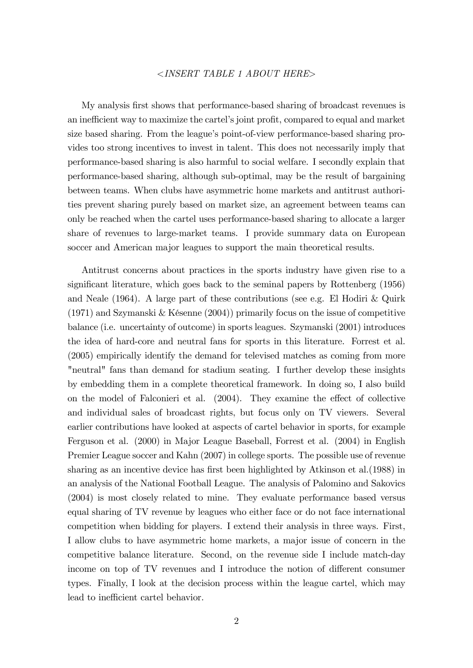#### <INSERT TABLE 1 ABOUT HERE>

My analysis Örst shows that performance-based sharing of broadcast revenues is an inefficient way to maximize the cartel's joint profit, compared to equal and market size based sharing. From the league's point-of-view performance-based sharing provides too strong incentives to invest in talent. This does not necessarily imply that performance-based sharing is also harmful to social welfare. I secondly explain that performance-based sharing, although sub-optimal, may be the result of bargaining between teams. When clubs have asymmetric home markets and antitrust authorities prevent sharing purely based on market size, an agreement between teams can only be reached when the cartel uses performance-based sharing to allocate a larger share of revenues to large-market teams. I provide summary data on European soccer and American major leagues to support the main theoretical results.

Antitrust concerns about practices in the sports industry have given rise to a significant literature, which goes back to the seminal papers by Rottenberg (1956) and Neale (1964). A large part of these contributions (see e.g. El Hodiri & Quirk  $(1971)$  and Szymanski & Késenne  $(2004)$ ) primarily focus on the issue of competitive balance (i.e. uncertainty of outcome) in sports leagues. Szymanski (2001) introduces the idea of hard-core and neutral fans for sports in this literature. Forrest et al. (2005) empirically identify the demand for televised matches as coming from more "neutral" fans than demand for stadium seating. I further develop these insights by embedding them in a complete theoretical framework. In doing so, I also build on the model of Falconieri et al.  $(2004)$ . They examine the effect of collective and individual sales of broadcast rights, but focus only on TV viewers. Several earlier contributions have looked at aspects of cartel behavior in sports, for example Ferguson et al. (2000) in Major League Baseball, Forrest et al. (2004) in English Premier League soccer and Kahn (2007) in college sports. The possible use of revenue sharing as an incentive device has first been highlighted by Atkinson et al. (1988) in an analysis of the National Football League. The analysis of Palomino and Sakovics (2004) is most closely related to mine. They evaluate performance based versus equal sharing of TV revenue by leagues who either face or do not face international competition when bidding for players. I extend their analysis in three ways. First, I allow clubs to have asymmetric home markets, a major issue of concern in the competitive balance literature. Second, on the revenue side I include match-day income on top of TV revenues and I introduce the notion of different consumer types. Finally, I look at the decision process within the league cartel, which may lead to inefficient cartel behavior.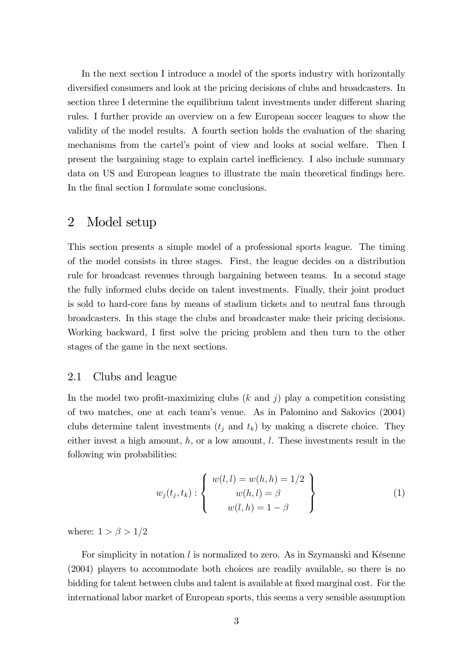In the next section I introduce a model of the sports industry with horizontally diversified consumers and look at the pricing decisions of clubs and broadcasters. In section three I determine the equilibrium talent investments under different sharing rules. I further provide an overview on a few European soccer leagues to show the validity of the model results. A fourth section holds the evaluation of the sharing mechanisms from the cartelís point of view and looks at social welfare. Then I present the bargaining stage to explain cartel inefficiency. I also include summary data on US and European leagues to illustrate the main theoretical findings here. In the final section I formulate some conclusions.

## 2 Model setup

This section presents a simple model of a professional sports league. The timing of the model consists in three stages. First, the league decides on a distribution rule for broadcast revenues through bargaining between teams. In a second stage the fully informed clubs decide on talent investments. Finally, their joint product is sold to hard-core fans by means of stadium tickets and to neutral fans through broadcasters. In this stage the clubs and broadcaster make their pricing decisions. Working backward, I first solve the pricing problem and then turn to the other stages of the game in the next sections.

## 2.1 Clubs and league

In the model two profit-maximizing clubs  $(k \text{ and } j)$  play a competition consisting of two matches, one at each teamís venue. As in Palomino and Sakovics (2004) clubs determine talent investments  $(t_j \text{ and } t_k)$  by making a discrete choice. They either invest a high amount,  $h$ , or a low amount,  $l$ . These investments result in the following win probabilities:

$$
w_j(t_j, t_k) : \begin{cases} w(l, l) = w(h, h) = 1/2 \\ w(h, l) = \beta \\ w(l, h) = 1 - \beta \end{cases}
$$
 (1)

where:  $1 > \beta > 1/2$ 

For simplicity in notation  $l$  is normalized to zero. As in Szymanski and Késenne (2004) players to accommodate both choices are readily available, so there is no bidding for talent between clubs and talent is available at fixed marginal cost. For the international labor market of European sports, this seems a very sensible assumption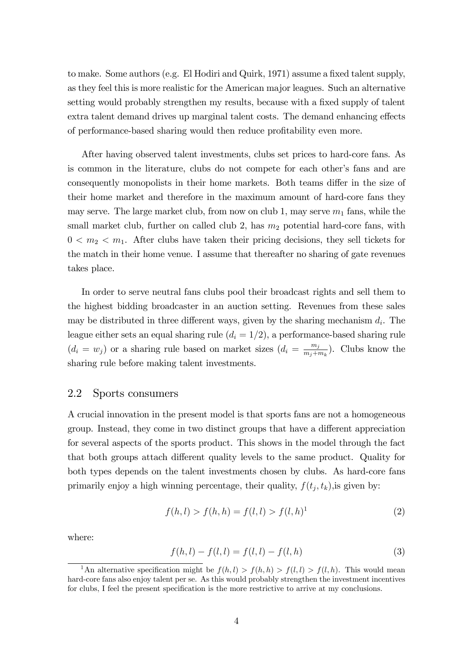to make. Some authors (e.g. El Hodiri and Quirk, 1971) assume a fixed talent supply, as they feel this is more realistic for the American major leagues. Such an alternative setting would probably strengthen my results, because with a fixed supply of talent extra talent demand drives up marginal talent costs. The demand enhancing effects of performance-based sharing would then reduce proÖtability even more.

After having observed talent investments, clubs set prices to hard-core fans. As is common in the literature, clubs do not compete for each other's fans and are consequently monopolists in their home markets. Both teams differ in the size of their home market and therefore in the maximum amount of hard-core fans they may serve. The large market club, from now on club 1, may serve  $m_1$  fans, while the small market club, further on called club 2, has  $m_2$  potential hard-core fans, with  $0 < m_2 < m_1$ . After clubs have taken their pricing decisions, they sell tickets for the match in their home venue. I assume that thereafter no sharing of gate revenues takes place.

In order to serve neutral fans clubs pool their broadcast rights and sell them to the highest bidding broadcaster in an auction setting. Revenues from these sales may be distributed in three different ways, given by the sharing mechanism  $d_i$ . The league either sets an equal sharing rule  $(d_i = 1/2)$ , a performance-based sharing rule  $(d_i = w_j)$  or a sharing rule based on market sizes  $(d_i = \frac{m_j}{m_i + n})$  $\frac{m_j}{m_j+m_k}$ ). Clubs know the sharing rule before making talent investments.

#### 2.2 Sports consumers

A crucial innovation in the present model is that sports fans are not a homogeneous group. Instead, they come in two distinct groups that have a different appreciation for several aspects of the sports product. This shows in the model through the fact that both groups attach different quality levels to the same product. Quality for both types depends on the talent investments chosen by clubs. As hard-core fans primarily enjoy a high winning percentage, their quality,  $f(t_j, t_k)$ , is given by:

$$
f(h, l) > f(h, h) = f(l, l) > f(l, h)^{1}
$$
\n(2)

where:

$$
f(h, l) - f(l, l) = f(l, l) - f(l, h)
$$
\n(3)

<sup>&</sup>lt;sup>1</sup>An alternative specification might be  $f(h, l) > f(h, h) > f(l, l) > f(l, h)$ . This would mean hard-core fans also enjoy talent per se. As this would probably strengthen the investment incentives for clubs, I feel the present specification is the more restrictive to arrive at my conclusions.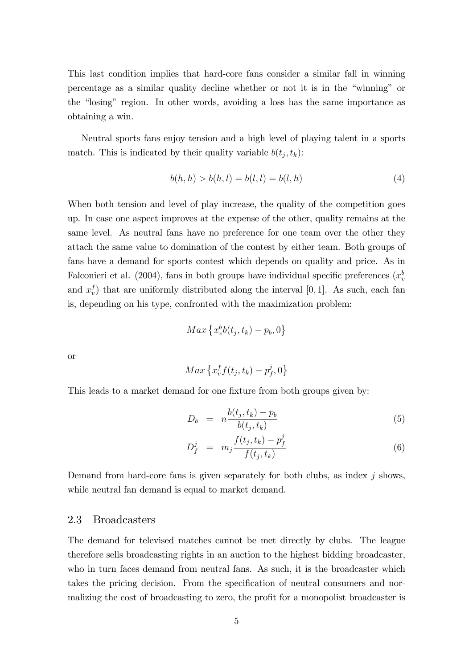This last condition implies that hard-core fans consider a similar fall in winning percentage as a similar quality decline whether or not it is in the "winning" or the "losing" region. In other words, avoiding a loss has the same importance as obtaining a win.

Neutral sports fans enjoy tension and a high level of playing talent in a sports match. This is indicated by their quality variable  $b(t_j, t_k)$ :

$$
b(h, h) > b(h, l) = b(l, l) = b(l, h)
$$
\n(4)

When both tension and level of play increase, the quality of the competition goes up. In case one aspect improves at the expense of the other, quality remains at the same level. As neutral fans have no preference for one team over the other they attach the same value to domination of the contest by either team. Both groups of fans have a demand for sports contest which depends on quality and price. As in Falconieri et al. (2004), fans in both groups have individual specific preferences  $(x<sub>i</sub><sup>b</sup>)$ and  $x_v^f$  that are uniformly distributed along the interval [0, 1]. As such, each fan is, depending on his type, confronted with the maximization problem:

$$
Max\left\{x_v^b b(t_j, t_k) - p_b, 0\right\}
$$

or

$$
Max\left\{x_v^f f(t_j, t_k) - p_f^j, 0\right\}
$$

This leads to a market demand for one fixture from both groups given by:

$$
D_b = n \frac{b(t_j, t_k) - p_b}{b(t_j, t_k)} \tag{5}
$$

$$
D_f^j = m_j \frac{f(t_j, t_k) - p_f^j}{f(t_j, t_k)}
$$
(6)

Demand from hard-core fans is given separately for both clubs, as index  $j$  shows, while neutral fan demand is equal to market demand.

## 2.3 Broadcasters

The demand for televised matches cannot be met directly by clubs. The league therefore sells broadcasting rights in an auction to the highest bidding broadcaster, who in turn faces demand from neutral fans. As such, it is the broadcaster which takes the pricing decision. From the specification of neutral consumers and normalizing the cost of broadcasting to zero, the profit for a monopolist broadcaster is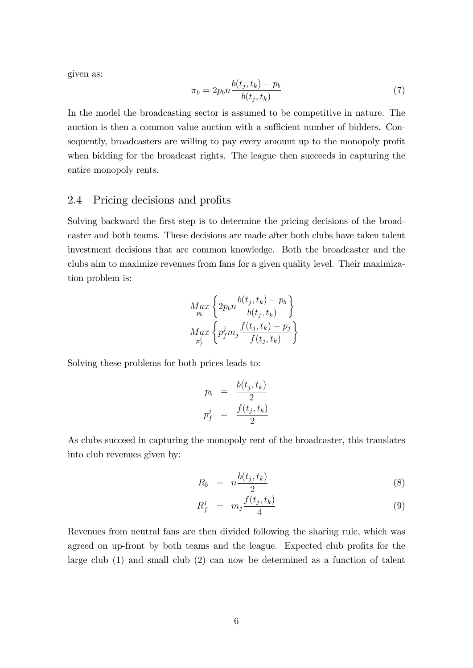given as:

$$
\pi_b = 2p_b n \frac{b(t_j, t_k) - p_b}{b(t_j, t_k)}\tag{7}
$$

In the model the broadcasting sector is assumed to be competitive in nature. The auction is then a common value auction with a sufficient number of bidders. Consequently, broadcasters are willing to pay every amount up to the monopoly profit when bidding for the broadcast rights. The league then succeeds in capturing the entire monopoly rents.

## 2.4 Pricing decisions and profits

Solving backward the first step is to determine the pricing decisions of the broadcaster and both teams. These decisions are made after both clubs have taken talent investment decisions that are common knowledge. Both the broadcaster and the clubs aim to maximize revenues from fans for a given quality level. Their maximization problem is:

$$
M_{p_b} \left\{ 2p_b n \frac{b(t_j, t_k) - p_b}{b(t_j, t_k)} \right\}
$$
  

$$
M_{q_x} \left\{ p_f^j m_j \frac{f(t_j, t_k) - p_j}{f(t_j, t_k)} \right\}
$$

Solving these problems for both prices leads to:

$$
p_b = \frac{b(t_j, t_k)}{2}
$$

$$
p_f^j = \frac{f(t_j, t_k)}{2}
$$

As clubs succeed in capturing the monopoly rent of the broadcaster, this translates into club revenues given by:

$$
R_b = n \frac{b(t_j, t_k)}{2} \tag{8}
$$

$$
R_f^j = m_j \frac{f(t_j, t_k)}{4} \tag{9}
$$

Revenues from neutral fans are then divided following the sharing rule, which was agreed on up-front by both teams and the league. Expected club profits for the large club (1) and small club (2) can now be determined as a function of talent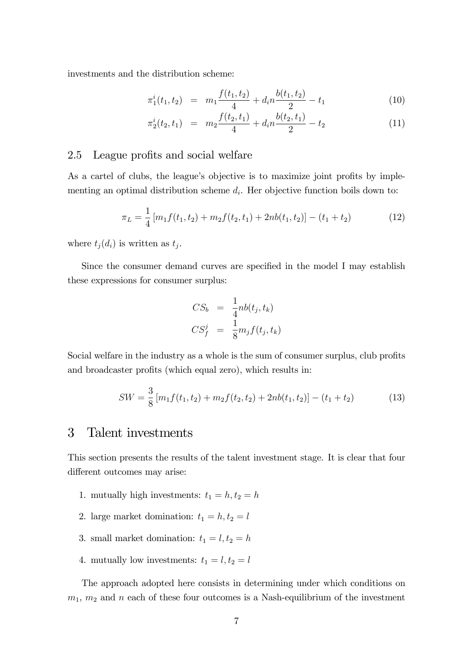investments and the distribution scheme:

$$
\pi_1^i(t_1, t_2) = m_1 \frac{f(t_1, t_2)}{4} + d_i n \frac{b(t_1, t_2)}{2} - t_1 \tag{10}
$$

$$
\pi_2^i(t_2, t_1) = m_2 \frac{f(t_2, t_1)}{4} + d_i n \frac{b(t_2, t_1)}{2} - t_2 \tag{11}
$$

## 2.5 League profits and social welfare

As a cartel of clubs, the league's objective is to maximize joint profits by implementing an optimal distribution scheme  $d_i$ . Her objective function boils down to:

$$
\pi_L = \frac{1}{4} \left[ m_1 f(t_1, t_2) + m_2 f(t_2, t_1) + 2nb(t_1, t_2) \right] - (t_1 + t_2)
$$
\n(12)

where  $t_j(d_i)$  is written as  $t_j$ .

Since the consumer demand curves are specified in the model I may establish these expressions for consumer surplus:

$$
CS_b = \frac{1}{4}nb(t_j, t_k)
$$
  

$$
CS_f^j = \frac{1}{8}m_j f(t_j, t_k)
$$

Social welfare in the industry as a whole is the sum of consumer surplus, club profits and broadcaster profits (which equal zero), which results in:

$$
SW = \frac{3}{8} \left[ m_1 f(t_1, t_2) + m_2 f(t_2, t_2) + 2nb(t_1, t_2) \right] - (t_1 + t_2)
$$
 (13)

## 3 Talent investments

This section presents the results of the talent investment stage. It is clear that four different outcomes may arise:

- 1. mutually high investments:  $t_1 = h, t_2 = h$
- 2. large market domination:  $t_1 = h, t_2 = l$
- 3. small market domination:  $t_1 = l, t_2 = h$
- 4. mutually low investments:  $t_1 = l, t_2 = l$

The approach adopted here consists in determining under which conditions on  $m_1$ ,  $m_2$  and n each of these four outcomes is a Nash-equilibrium of the investment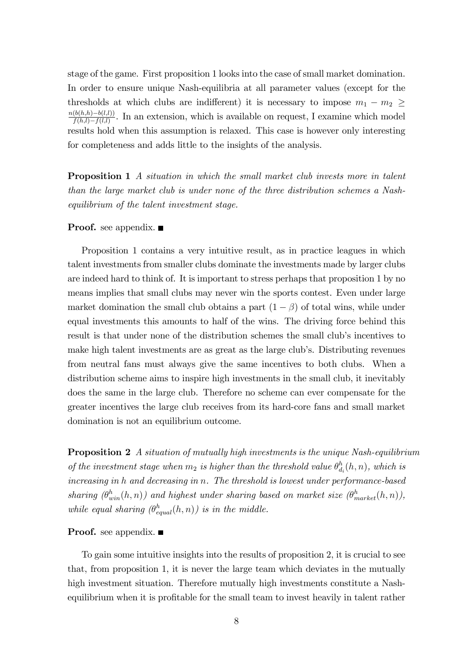stage of the game. First proposition 1 looks into the case of small market domination. In order to ensure unique Nash-equilibria at all parameter values (except for the thresholds at which clubs are indifferent) it is necessary to impose  $m_1 - m_2 \geq$  $\frac{n(b(h,h)-b(l,l))}{h}$  $\frac{\left(\phi(n,h)-\phi(l,l)\right)}{f(h,l)-f(l,l)}$ . In an extension, which is available on request, I examine which model results hold when this assumption is relaxed. This case is however only interesting for completeness and adds little to the insights of the analysis.

**Proposition 1** A situation in which the small market club invests more in talent than the large market club is under none of the three distribution schemes a Nashequilibrium of the talent investment stage.

## **Proof.** see appendix. ■

Proposition 1 contains a very intuitive result, as in practice leagues in which talent investments from smaller clubs dominate the investments made by larger clubs are indeed hard to think of. It is important to stress perhaps that proposition 1 by no means implies that small clubs may never win the sports contest. Even under large market domination the small club obtains a part  $(1 - \beta)$  of total wins, while under equal investments this amounts to half of the wins. The driving force behind this result is that under none of the distribution schemes the small club's incentives to make high talent investments are as great as the large club's. Distributing revenues from neutral fans must always give the same incentives to both clubs. When a distribution scheme aims to inspire high investments in the small club, it inevitably does the same in the large club. Therefore no scheme can ever compensate for the greater incentives the large club receives from its hard-core fans and small market domination is not an equilibrium outcome.

**Proposition 2** A situation of mutually high investments is the unique Nash-equilibrium of the investment stage when  $m_2$  is higher than the threshold value  $\theta_d^h$  $\binom{n}{d_i}(h,n)$ , which is increasing in h and decreasing in n. The threshold is lowest under performance-based sharing  $(\theta_{win}^h(h,n))$  and highest under sharing based on market size  $(\theta_{market}^h(h,n))$ , while equal sharing  $(\theta_{equal}^h(h,n))$  is in the middle.

#### **Proof.** see appendix.  $\blacksquare$

To gain some intuitive insights into the results of proposition 2, it is crucial to see that, from proposition 1, it is never the large team which deviates in the mutually high investment situation. Therefore mutually high investments constitute a Nashequilibrium when it is profitable for the small team to invest heavily in talent rather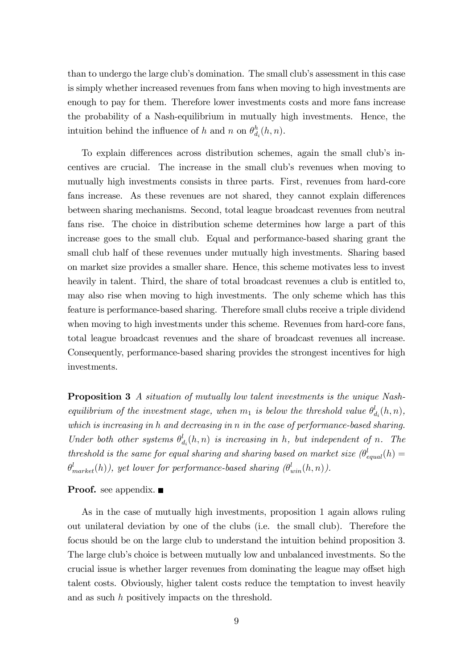than to undergo the large club's domination. The small club's assessment in this case is simply whether increased revenues from fans when moving to high investments are enough to pay for them. Therefore lower investments costs and more fans increase the probability of a Nash-equilibrium in mutually high investments. Hence, the intuition behind the influence of h and n on  $\theta_d^h$  $\frac{h}{d_i}(h,n)$ .

To explain differences across distribution schemes, again the small club's incentives are crucial. The increase in the small club's revenues when moving to mutually high investments consists in three parts. First, revenues from hard-core fans increase. As these revenues are not shared, they cannot explain differences between sharing mechanisms. Second, total league broadcast revenues from neutral fans rise. The choice in distribution scheme determines how large a part of this increase goes to the small club. Equal and performance-based sharing grant the small club half of these revenues under mutually high investments. Sharing based on market size provides a smaller share. Hence, this scheme motivates less to invest heavily in talent. Third, the share of total broadcast revenues a club is entitled to, may also rise when moving to high investments. The only scheme which has this feature is performance-based sharing. Therefore small clubs receive a triple dividend when moving to high investments under this scheme. Revenues from hard-core fans, total league broadcast revenues and the share of broadcast revenues all increase. Consequently, performance-based sharing provides the strongest incentives for high investments.

Proposition 3 A situation of mutually low talent investments is the unique Nashequilibrium of the investment stage, when  $m_1$  is below the threshold value  $\theta_{\epsilon}^l$  $\big\downarrow^l_{d_i}(h,n),$ which is increasing in h and decreasing in n in the case of performance-based sharing. Under both other systems  $\theta_{\epsilon}^{l}$  $d_{d_i}(h,n)$  is increasing in h, but independent of n. The threshold is the same for equal sharing and sharing based on market size  $(\theta_{equal}^l(h) =$  $\theta^l_{market}(h)),\; yet\; lower\; for\; performance-based\; sharing\; (\theta^l_{win}(h,n)).$ 

**Proof.** see appendix.  $\blacksquare$ 

As in the case of mutually high investments, proposition 1 again allows ruling out unilateral deviation by one of the clubs (i.e. the small club). Therefore the focus should be on the large club to understand the intuition behind proposition 3. The large club's choice is between mutually low and unbalanced investments. So the crucial issue is whether larger revenues from dominating the league may offset high talent costs. Obviously, higher talent costs reduce the temptation to invest heavily and as such h positively impacts on the threshold.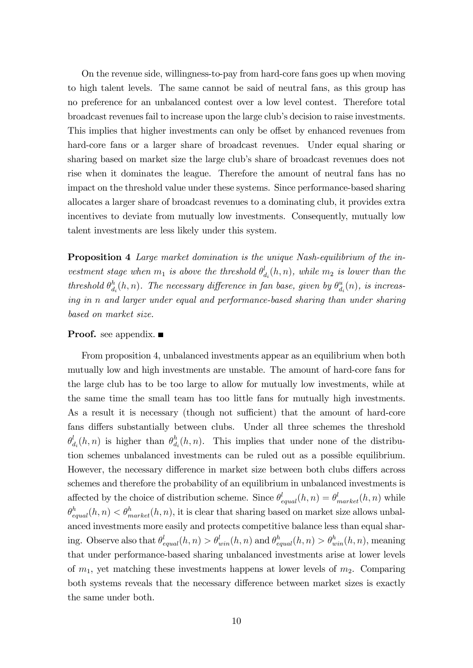On the revenue side, willingness-to-pay from hard-core fans goes up when moving to high talent levels. The same cannot be said of neutral fans, as this group has no preference for an unbalanced contest over a low level contest. Therefore total broadcast revenues fail to increase upon the large clubís decision to raise investments. This implies that higher investments can only be offset by enhanced revenues from hard-core fans or a larger share of broadcast revenues. Under equal sharing or sharing based on market size the large clubís share of broadcast revenues does not rise when it dominates the league. Therefore the amount of neutral fans has no impact on the threshold value under these systems. Since performance-based sharing allocates a larger share of broadcast revenues to a dominating club, it provides extra incentives to deviate from mutually low investments. Consequently, mutually low talent investments are less likely under this system.

**Proposition 4** Large market domination is the unique Nash-equilibrium of the investment stage when  $m_1$  is above the threshold  $\theta_{\epsilon}^l$  $\mathcal{L}_{d_i}^l(h,n)$ , while  $m_2$  is lower than the threshold  $\theta_d^h$  $\frac{h}{d_i}(h,n)$ . The necessary difference in fan base, given by  $\theta_d^u$  $\binom{u}{d_i}(n)$ , is increasing in n and larger under equal and performance-based sharing than under sharing based on market size.

#### **Proof.** see appendix.  $\blacksquare$

From proposition 4, unbalanced investments appear as an equilibrium when both mutually low and high investments are unstable. The amount of hard-core fans for the large club has to be too large to allow for mutually low investments, while at the same time the small team has too little fans for mutually high investments. As a result it is necessary (though not sufficient) that the amount of hard-core fans differs substantially between clubs. Under all three schemes the threshold  $\theta_\epsilon^l$  $\frac{d}{d_i}(h,n)$  is higher than  $\theta_d^h$  $d_i(h,n)$ . This implies that under none of the distribution schemes unbalanced investments can be ruled out as a possible equilibrium. However, the necessary difference in market size between both clubs differs across schemes and therefore the probability of an equilibrium in unbalanced investments is affected by the choice of distribution scheme. Since  $\theta_{equal}^l(h, n) = \theta_{market}^l(h, n)$  while  $\theta_{equal}^h(h,n) < \theta_{market}^h(h,n)$ , it is clear that sharing based on market size allows unbalanced investments more easily and protects competitive balance less than equal sharing. Observe also that  $\theta_{equal}^l(h,n) > \theta_{win}^l(h,n)$  and  $\theta_{equal}^h(h,n) > \theta_{win}^h(h,n)$ , meaning that under performance-based sharing unbalanced investments arise at lower levels of  $m_1$ , yet matching these investments happens at lower levels of  $m_2$ . Comparing both systems reveals that the necessary difference between market sizes is exactly the same under both.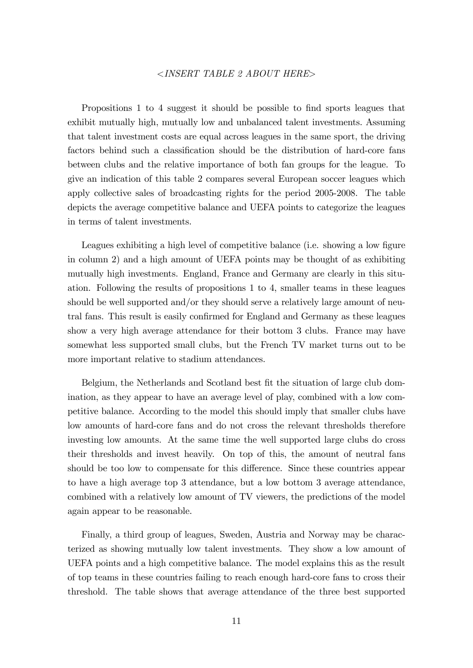#### <INSERT TABLE 2 ABOUT HERE>

Propositions 1 to 4 suggest it should be possible to find sports leagues that exhibit mutually high, mutually low and unbalanced talent investments. Assuming that talent investment costs are equal across leagues in the same sport, the driving factors behind such a classification should be the distribution of hard-core fans between clubs and the relative importance of both fan groups for the league. To give an indication of this table 2 compares several European soccer leagues which apply collective sales of broadcasting rights for the period 2005-2008. The table depicts the average competitive balance and UEFA points to categorize the leagues in terms of talent investments.

Leagues exhibiting a high level of competitive balance (i.e. showing a low figure in column 2) and a high amount of UEFA points may be thought of as exhibiting mutually high investments. England, France and Germany are clearly in this situation. Following the results of propositions 1 to 4, smaller teams in these leagues should be well supported and/or they should serve a relatively large amount of neutral fans. This result is easily confirmed for England and Germany as these leagues show a very high average attendance for their bottom 3 clubs. France may have somewhat less supported small clubs, but the French TV market turns out to be more important relative to stadium attendances.

Belgium, the Netherlands and Scotland best fit the situation of large club domination, as they appear to have an average level of play, combined with a low competitive balance. According to the model this should imply that smaller clubs have low amounts of hard-core fans and do not cross the relevant thresholds therefore investing low amounts. At the same time the well supported large clubs do cross their thresholds and invest heavily. On top of this, the amount of neutral fans should be too low to compensate for this difference. Since these countries appear to have a high average top 3 attendance, but a low bottom 3 average attendance, combined with a relatively low amount of TV viewers, the predictions of the model again appear to be reasonable.

Finally, a third group of leagues, Sweden, Austria and Norway may be characterized as showing mutually low talent investments. They show a low amount of UEFA points and a high competitive balance. The model explains this as the result of top teams in these countries failing to reach enough hard-core fans to cross their threshold. The table shows that average attendance of the three best supported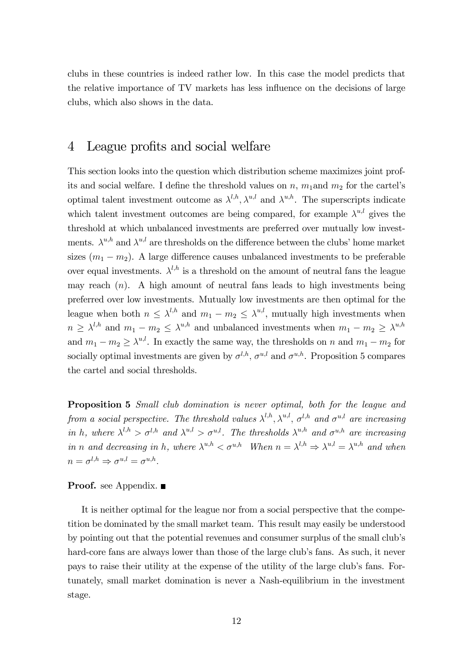clubs in these countries is indeed rather low. In this case the model predicts that the relative importance of TV markets has less influence on the decisions of large clubs, which also shows in the data.

## 4 League profits and social welfare

This section looks into the question which distribution scheme maximizes joint profits and social welfare. I define the threshold values on  $n$ ,  $m_1$  and  $m_2$  for the cartel's optimal talent investment outcome as  $\lambda^{l,h}, \lambda^{u,l}$  and  $\lambda^{u,h}$ . The superscripts indicate which talent investment outcomes are being compared, for example  $\lambda^{u,l}$  gives the threshold at which unbalanced investments are preferred over mutually low investments.  $\lambda^{u,h}$  and  $\lambda^{u,l}$  are thresholds on the difference between the clubs' home market sizes  $(m_1 - m_2)$ . A large difference causes unbalanced investments to be preferable over equal investments.  $\lambda^{l,h}$  is a threshold on the amount of neutral fans the league may reach  $(n)$ . A high amount of neutral fans leads to high investments being preferred over low investments. Mutually low investments are then optimal for the league when both  $n \leq \lambda^{l,h}$  and  $m_1 - m_2 \leq \lambda^{u,l}$ , mutually high investments when  $n \geq \lambda^{l,h}$  and  $m_1 - m_2 \leq \lambda^{u,h}$  and unbalanced investments when  $m_1 - m_2 \geq \lambda^{u,h}$ and  $m_1 - m_2 \ge \lambda^{u,l}$ . In exactly the same way, the thresholds on n and  $m_1 - m_2$  for socially optimal investments are given by  $\sigma^{l,h}$ ,  $\sigma^{u,l}$  and  $\sigma^{u,h}$ . Proposition 5 compares the cartel and social thresholds.

Proposition 5 Small club domination is never optimal, both for the league and from a social perspective. The threshold values  $\lambda^{l,h}, \lambda^{u,l}, \sigma^{l,h}$  and  $\sigma^{u,l}$  are increasing in h, where  $\lambda^{l,h} > \sigma^{l,h}$  and  $\lambda^{u,l} > \sigma^{u,l}$ . The thresholds  $\lambda^{u,h}$  and  $\sigma^{u,h}$  are increasing in n and decreasing in h, where  $\lambda^{u,h} < \sigma^{u,h}$  When  $n = \lambda^{l,h} \Rightarrow \lambda^{u,l} = \lambda^{u,h}$  and when  $n = \sigma^{l,h} \Rightarrow \sigma^{u,l} = \sigma^{u,h}.$ 

#### **Proof.** see Appendix.

It is neither optimal for the league nor from a social perspective that the competition be dominated by the small market team. This result may easily be understood by pointing out that the potential revenues and consumer surplus of the small club's hard-core fans are always lower than those of the large club's fans. As such, it never pays to raise their utility at the expense of the utility of the large clubís fans. Fortunately, small market domination is never a Nash-equilibrium in the investment stage.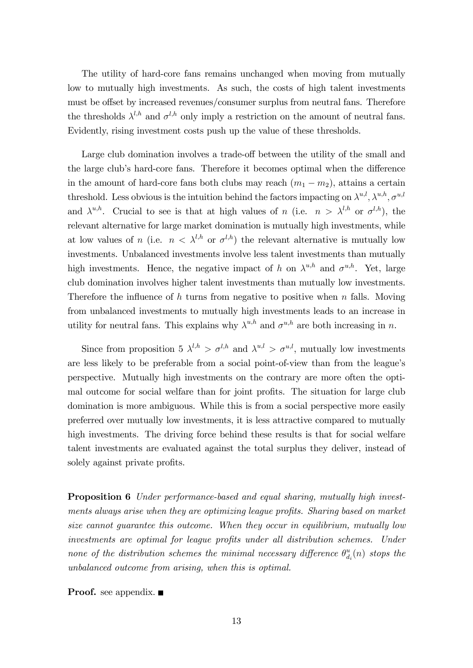The utility of hard-core fans remains unchanged when moving from mutually low to mutually high investments. As such, the costs of high talent investments must be offset by increased revenues/consumer surplus from neutral fans. Therefore the thresholds  $\lambda^{l,h}$  and  $\sigma^{l,h}$  only imply a restriction on the amount of neutral fans. Evidently, rising investment costs push up the value of these thresholds.

Large club domination involves a trade-off between the utility of the small and the large club's hard-core fans. Therefore it becomes optimal when the difference in the amount of hard-core fans both clubs may reach  $(m_1 - m_2)$ , attains a certain threshold. Less obvious is the intuition behind the factors impacting on  $\lambda^{u,l}$ ,  $\lambda^{u,h}$ ,  $\sigma^{u,l}$ and  $\lambda^{u,h}$ . Crucial to see is that at high values of n (i.e.  $n > \lambda^{l,h}$  or  $\sigma^{l,h}$ ), the relevant alternative for large market domination is mutually high investments, while at low values of n (i.e.  $n < \lambda^{l,h}$  or  $\sigma^{l,h}$ ) the relevant alternative is mutually low investments. Unbalanced investments involve less talent investments than mutually high investments. Hence, the negative impact of h on  $\lambda^{u,h}$  and  $\sigma^{u,h}$ . Yet, large club domination involves higher talent investments than mutually low investments. Therefore the influence of h turns from negative to positive when  $n$  falls. Moving from unbalanced investments to mutually high investments leads to an increase in utility for neutral fans. This explains why  $\lambda^{u,h}$  and  $\sigma^{u,h}$  are both increasing in n.

Since from proposition 5  $\lambda^{l,h} > \sigma^{l,h}$  and  $\lambda^{u,l} > \sigma^{u,l}$ , mutually low investments are less likely to be preferable from a social point-of-view than from the league's perspective. Mutually high investments on the contrary are more often the optimal outcome for social welfare than for joint profits. The situation for large club domination is more ambiguous. While this is from a social perspective more easily preferred over mutually low investments, it is less attractive compared to mutually high investments. The driving force behind these results is that for social welfare talent investments are evaluated against the total surplus they deliver, instead of solely against private profits.

**Proposition 6** Under performance-based and equal sharing, mutually high investments always arise when they are optimizing league profits. Sharing based on market size cannot guarantee this outcome. When they occur in equilibrium, mutually low investments are optimal for league profits under all distribution schemes. Under none of the distribution schemes the minimal necessary difference  $\theta_d^u$  $\binom{u}{d_i}(n)$  stops the unbalanced outcome from arising, when this is optimal.

**Proof.** see appendix. ■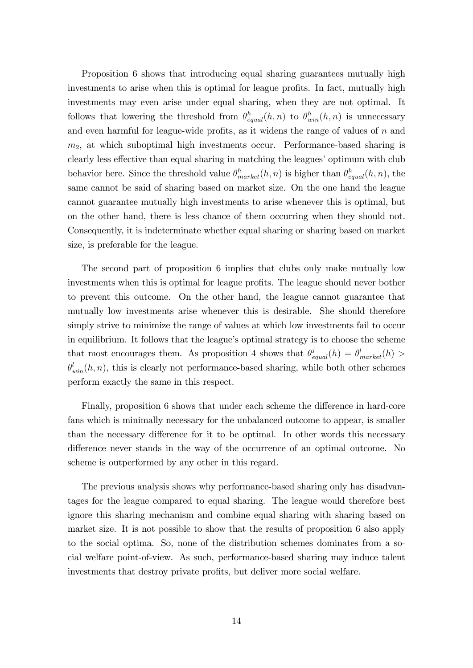Proposition 6 shows that introducing equal sharing guarantees mutually high investments to arise when this is optimal for league profits. In fact, mutually high investments may even arise under equal sharing, when they are not optimal. It follows that lowering the threshold from  $\theta_{equal}^h(h,n)$  to  $\theta_{win}^h(h,n)$  is unnecessary and even harmful for league-wide profits, as it widens the range of values of  $n$  and  $m<sub>2</sub>$ , at which suboptimal high investments occur. Performance-based sharing is clearly less effective than equal sharing in matching the leagues' optimum with club behavior here. Since the threshold value  $\theta_{market}^{h}(h, n)$  is higher than  $\theta_{equal}^{h}(h, n)$ , the same cannot be said of sharing based on market size. On the one hand the league cannot guarantee mutually high investments to arise whenever this is optimal, but on the other hand, there is less chance of them occurring when they should not. Consequently, it is indeterminate whether equal sharing or sharing based on market size, is preferable for the league.

The second part of proposition 6 implies that clubs only make mutually low investments when this is optimal for league profits. The league should never bother to prevent this outcome. On the other hand, the league cannot guarantee that mutually low investments arise whenever this is desirable. She should therefore simply strive to minimize the range of values at which low investments fail to occur in equilibrium. It follows that the league's optimal strategy is to choose the scheme that most encourages them. As proposition 4 shows that  $\theta_{equal}^j(h) = \theta_{market}^l(h) >$  $\theta_{win}^l(h, n)$ , this is clearly not performance-based sharing, while both other schemes perform exactly the same in this respect.

Finally, proposition 6 shows that under each scheme the difference in hard-core fans which is minimally necessary for the unbalanced outcome to appear, is smaller than the necessary difference for it to be optimal. In other words this necessary difference never stands in the way of the occurrence of an optimal outcome. No scheme is outperformed by any other in this regard.

The previous analysis shows why performance-based sharing only has disadvantages for the league compared to equal sharing. The league would therefore best ignore this sharing mechanism and combine equal sharing with sharing based on market size. It is not possible to show that the results of proposition 6 also apply to the social optima. So, none of the distribution schemes dominates from a social welfare point-of-view. As such, performance-based sharing may induce talent investments that destroy private profits, but deliver more social welfare.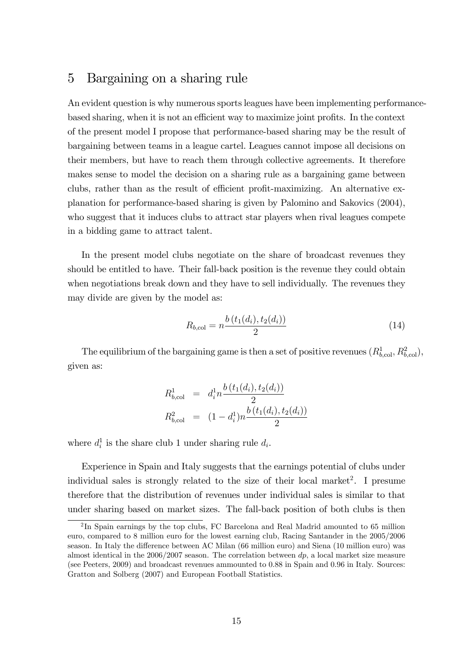## 5 Bargaining on a sharing rule

An evident question is why numerous sports leagues have been implementing performancebased sharing, when it is not an efficient way to maximize joint profits. In the context of the present model I propose that performance-based sharing may be the result of bargaining between teams in a league cartel. Leagues cannot impose all decisions on their members, but have to reach them through collective agreements. It therefore makes sense to model the decision on a sharing rule as a bargaining game between clubs, rather than as the result of efficient profit-maximizing. An alternative explanation for performance-based sharing is given by Palomino and Sakovics (2004), who suggest that it induces clubs to attract star players when rival leagues compete in a bidding game to attract talent.

In the present model clubs negotiate on the share of broadcast revenues they should be entitled to have. Their fall-back position is the revenue they could obtain when negotiations break down and they have to sell individually. The revenues they may divide are given by the model as:

$$
R_{b,\text{col}} = n \frac{b(t_1(d_i), t_2(d_i))}{2} \tag{14}
$$

The equilibrium of the bargaining game is then a set of positive revenues  $(R^1_{b,\text{col}}, R^2_{b,\text{col}})$ , given as:

$$
R_{b,\text{col}}^1 = d_i^1 n \frac{b(t_1(d_i), t_2(d_i))}{2}
$$
  

$$
R_{b,\text{col}}^2 = (1 - d_i^1) n \frac{b(t_1(d_i), t_2(d_i))}{2}
$$

where  $d_i^1$  is the share club 1 under sharing rule  $d_i$ .

Experience in Spain and Italy suggests that the earnings potential of clubs under individual sales is strongly related to the size of their local market<sup>2</sup>. I presume therefore that the distribution of revenues under individual sales is similar to that under sharing based on market sizes. The fall-back position of both clubs is then

<sup>&</sup>lt;sup>2</sup>In Spain earnings by the top clubs, FC Barcelona and Real Madrid amounted to 65 million euro, compared to 8 million euro for the lowest earning club, Racing Santander in the 2005/2006 season. In Italy the difference between AC Milan (66 million euro) and Siena (10 million euro) was almost identical in the  $2006/2007$  season. The correlation between  $dp$ , a local market size measure (see Peeters, 2009) and broadcast revenues ammounted to 0.88 in Spain and 0.96 in Italy. Sources: Gratton and Solberg (2007) and European Football Statistics.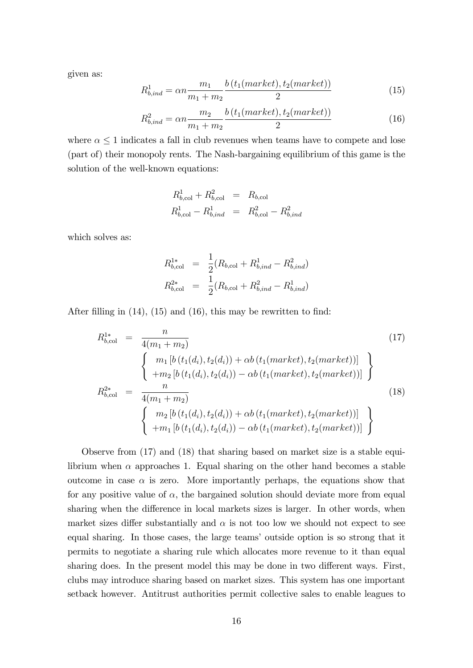given as:

$$
R_{b,ind}^1 = \alpha n \frac{m_1}{m_1 + m_2} \frac{b(t_1(market), t_2(market))}{2}
$$
 (15)

$$
R_{b,ind}^2 = \alpha n \frac{m_2}{m_1 + m_2} \frac{b(t_1(market), t_2(market))}{2}
$$
 (16)

where  $\alpha \leq 1$  indicates a fall in club revenues when teams have to compete and lose (part of) their monopoly rents. The Nash-bargaining equilibrium of this game is the solution of the well-known equations:

$$
R_{b,\text{col}}^1 + R_{b,\text{col}}^2 = R_{b,\text{col}}
$$
  

$$
R_{b,\text{col}}^1 - R_{b,\text{ind}}^1 = R_{b,\text{col}}^2 - R_{b,\text{ind}}^2
$$

which solves as:

$$
R_{b,\text{col}}^{1*} = \frac{1}{2}(R_{b,\text{col}} + R_{b,\text{ind}}^1 - R_{b,\text{ind}}^2)
$$
  

$$
R_{b,\text{col}}^{2*} = \frac{1}{2}(R_{b,\text{col}} + R_{b,\text{ind}}^2 - R_{b,\text{ind}}^1)
$$

After filling in  $(14)$ ,  $(15)$  and  $(16)$ , this may be rewritten to find:

$$
R_{b,\text{col}}^{1*} = \frac{n}{4(m_1 + m_2)}
$$
(17)  

$$
\begin{cases} m_1 [b(t_1(d_i), t_2(d_i)) + \alpha b(t_1(market), t_2(market))] \\ + m_2 [b(t_1(d_i), t_2(d_i)) - \alpha b(t_1(market), t_2(market))] \end{cases}
$$

$$
R_{b,\text{col}}^{2*} = \frac{n}{4(m_1 + m_2)}
$$
(18)  

$$
\begin{cases} m_2 [b(t_1(d_i), t_2(d_i)) + \alpha b(t_1(market), t_2(market))] \\ + m_1 [b(t_1(d_i), t_2(d_i)) - \alpha b(t_1(market), t_2(market))] \end{cases}
$$

Observe from (17) and (18) that sharing based on market size is a stable equilibrium when  $\alpha$  approaches 1. Equal sharing on the other hand becomes a stable outcome in case  $\alpha$  is zero. More importantly perhaps, the equations show that for any positive value of  $\alpha$ , the bargained solution should deviate more from equal sharing when the difference in local markets sizes is larger. In other words, when market sizes differ substantially and  $\alpha$  is not too low we should not expect to see equal sharing. In those cases, the large teams' outside option is so strong that it permits to negotiate a sharing rule which allocates more revenue to it than equal sharing does. In the present model this may be done in two different ways. First, clubs may introduce sharing based on market sizes. This system has one important setback however. Antitrust authorities permit collective sales to enable leagues to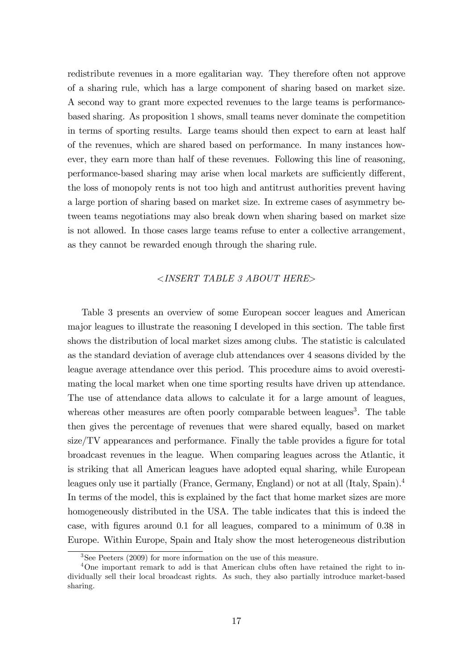redistribute revenues in a more egalitarian way. They therefore often not approve of a sharing rule, which has a large component of sharing based on market size. A second way to grant more expected revenues to the large teams is performancebased sharing. As proposition 1 shows, small teams never dominate the competition in terms of sporting results. Large teams should then expect to earn at least half of the revenues, which are shared based on performance. In many instances however, they earn more than half of these revenues. Following this line of reasoning, performance-based sharing may arise when local markets are sufficiently different, the loss of monopoly rents is not too high and antitrust authorities prevent having a large portion of sharing based on market size. In extreme cases of asymmetry between teams negotiations may also break down when sharing based on market size is not allowed. In those cases large teams refuse to enter a collective arrangement, as they cannot be rewarded enough through the sharing rule.

#### <INSERT TABLE 3 ABOUT HERE>

Table 3 presents an overview of some European soccer leagues and American major leagues to illustrate the reasoning I developed in this section. The table Örst shows the distribution of local market sizes among clubs. The statistic is calculated as the standard deviation of average club attendances over 4 seasons divided by the league average attendance over this period. This procedure aims to avoid overestimating the local market when one time sporting results have driven up attendance. The use of attendance data allows to calculate it for a large amount of leagues, whereas other measures are often poorly comparable between leagues<sup>3</sup>. The table then gives the percentage of revenues that were shared equally, based on market  $size/TV$  appearances and performance. Finally the table provides a figure for total broadcast revenues in the league. When comparing leagues across the Atlantic, it is striking that all American leagues have adopted equal sharing, while European leagues only use it partially (France, Germany, England) or not at all (Italy, Spain).<sup>4</sup> In terms of the model, this is explained by the fact that home market sizes are more homogeneously distributed in the USA. The table indicates that this is indeed the case, with Ögures around 0.1 for all leagues, compared to a minimum of 0.38 in Europe. Within Europe, Spain and Italy show the most heterogeneous distribution

<sup>3</sup>See Peeters (2009) for more information on the use of this measure.

<sup>4</sup>One important remark to add is that American clubs often have retained the right to individually sell their local broadcast rights. As such, they also partially introduce market-based sharing.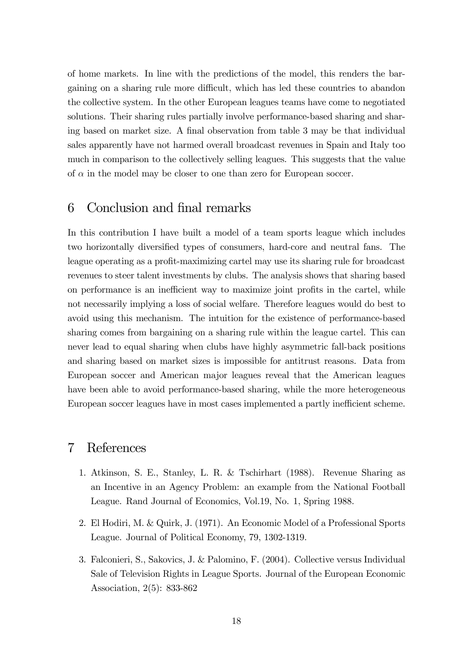of home markets. In line with the predictions of the model, this renders the bargaining on a sharing rule more difficult, which has led these countries to abandon the collective system. In the other European leagues teams have come to negotiated solutions. Their sharing rules partially involve performance-based sharing and sharing based on market size. A final observation from table 3 may be that individual sales apparently have not harmed overall broadcast revenues in Spain and Italy too much in comparison to the collectively selling leagues. This suggests that the value of  $\alpha$  in the model may be closer to one than zero for European soccer.

## 6 Conclusion and final remarks

In this contribution I have built a model of a team sports league which includes two horizontally diversified types of consumers, hard-core and neutral fans. The league operating as a profit-maximizing cartel may use its sharing rule for broadcast revenues to steer talent investments by clubs. The analysis shows that sharing based on performance is an inefficient way to maximize joint profits in the cartel, while not necessarily implying a loss of social welfare. Therefore leagues would do best to avoid using this mechanism. The intuition for the existence of performance-based sharing comes from bargaining on a sharing rule within the league cartel. This can never lead to equal sharing when clubs have highly asymmetric fall-back positions and sharing based on market sizes is impossible for antitrust reasons. Data from European soccer and American major leagues reveal that the American leagues have been able to avoid performance-based sharing, while the more heterogeneous European soccer leagues have in most cases implemented a partly inefficient scheme.

## 7 References

- 1. Atkinson, S. E., Stanley, L. R. & Tschirhart (1988). Revenue Sharing as an Incentive in an Agency Problem: an example from the National Football League. Rand Journal of Economics, Vol.19, No. 1, Spring 1988.
- 2. El Hodiri, M. & Quirk, J. (1971). An Economic Model of a Professional Sports League. Journal of Political Economy, 79, 1302-1319.
- 3. Falconieri, S., Sakovics, J. & Palomino, F. (2004). Collective versus Individual Sale of Television Rights in League Sports. Journal of the European Economic Association, 2(5): 833-862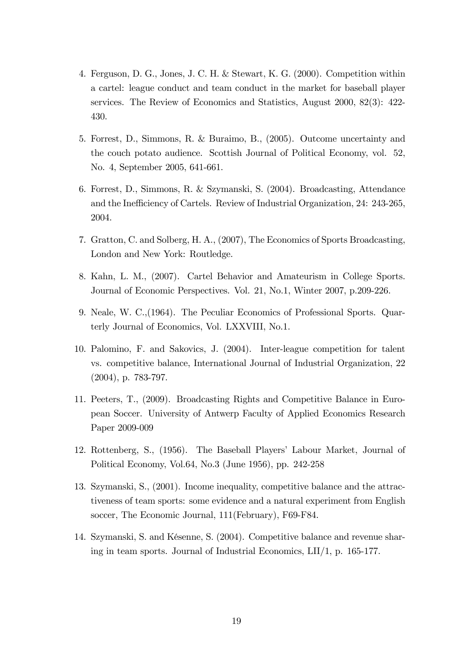- 4. Ferguson, D. G., Jones, J. C. H. & Stewart, K. G. (2000). Competition within a cartel: league conduct and team conduct in the market for baseball player services. The Review of Economics and Statistics, August 2000, 82(3): 422- 430.
- 5. Forrest, D., Simmons, R. & Buraimo, B., (2005). Outcome uncertainty and the couch potato audience. Scottish Journal of Political Economy, vol. 52, No. 4, September 2005, 641-661.
- 6. Forrest, D., Simmons, R. & Szymanski, S. (2004). Broadcasting, Attendance and the Inefficiency of Cartels. Review of Industrial Organization, 24: 243-265, 2004.
- 7. Gratton, C. and Solberg, H. A., (2007), The Economics of Sports Broadcasting, London and New York: Routledge.
- 8. Kahn, L. M., (2007). Cartel Behavior and Amateurism in College Sports. Journal of Economic Perspectives. Vol. 21, No.1, Winter 2007, p.209-226.
- 9. Neale, W. C.,(1964). The Peculiar Economics of Professional Sports. Quarterly Journal of Economics, Vol. LXXVIII, No.1.
- 10. Palomino, F. and Sakovics, J. (2004). Inter-league competition for talent vs. competitive balance, International Journal of Industrial Organization, 22 (2004), p. 783-797.
- 11. Peeters, T., (2009). Broadcasting Rights and Competitive Balance in European Soccer. University of Antwerp Faculty of Applied Economics Research Paper 2009-009
- 12. Rottenberg, S., (1956). The Baseball Players' Labour Market, Journal of Political Economy, Vol.64, No.3 (June 1956), pp. 242-258
- 13. Szymanski, S., (2001). Income inequality, competitive balance and the attractiveness of team sports: some evidence and a natural experiment from English soccer, The Economic Journal, 111(February), F69-F84.
- 14. Szymanski, S. and KÈsenne, S. (2004). Competitive balance and revenue sharing in team sports. Journal of Industrial Economics, LII/1, p. 165-177.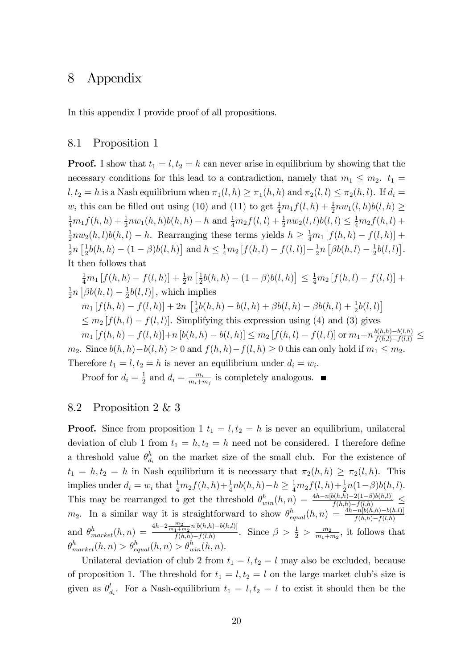## 8 Appendix

In this appendix I provide proof of all propositions.

## 8.1 Proposition 1

**Proof.** I show that  $t_1 = l$ ,  $t_2 = h$  can never arise in equilibrium by showing that the necessary conditions for this lead to a contradiction, namely that  $m_1 \leq m_2$ .  $t_1 =$  $l, t_2 = h$  is a Nash equilibrium when  $\pi_1(l, h) \geq \pi_1(h, h)$  and  $\pi_2(l, l) \leq \pi_2(h, l)$ . If  $d_i =$  $w_i$  this can be filled out using (10) and (11) to get  $\frac{1}{4}m_1f(l,h) + \frac{1}{2}nw_1(l,h)b(l,h) \ge$  $\frac{1}{4}m_1f(h, h) + \frac{1}{2}nw_1(h, h)b(h, h) - h$  and  $\frac{1}{4}m_2f(l, l) + \frac{1}{2}nw_2(l, l)b(l, l) \leq \frac{1}{4}m_2f(h, l) +$ 1  $\frac{1}{2}nw_2(h,l)b(h,l) - h$ . Rearranging these terms yields  $h \geq \frac{1}{4}m_1[f(h,h) - f(l,h)] +$ 1  $\frac{1}{2}n\left[\frac{1}{2}\right]$  $\frac{1}{2}b(h, h) - (1 - \beta)b(l, h)$  and  $h \leq \frac{1}{4}m_2 [f(h, l) - f(l, l)] + \frac{1}{2}n [\beta b(h, l) - \frac{1}{2}]$  $\frac{1}{2}b(l, l)$ . It then follows that

$$
\frac{1}{4}m_1 [f(h, h) - f(l, h)] + \frac{1}{2}n [\frac{1}{2}b(h, h) - (1 - \beta)b(l, h)] \le \frac{1}{4}m_2 [f(h, l) - f(l, l)] +
$$
  
\n
$$
\frac{1}{2}n [\beta b(h, l) - \frac{1}{2}b(l, l)],
$$
 which implies  
\n
$$
m_1 [f(h, h) - f(l, h)] + 2n [\frac{1}{2}b(h, h) - b(l, h) + \beta b(l, h) - \beta b(h, l) + \frac{1}{2}b(l, l)]
$$
  
\n
$$
\le m_2 [f(h, l) - f(l, l)].
$$
 Simplifying this expression using (4) and (3) gives  
\n
$$
m_1 [f(h, h) - f(l, h)] + n [b(h, h) - b(l, h)] \le m_2 [f(h, l) - f(l, l)]
$$
 or  $m_1 + n \frac{b(h, h) - b(l, h)}{f(h, l) - f(l, l)} \le m_2$ . Since  $b(h, h) - b(l, h) \ge 0$  and  $f(h, h) - f(l, h) \ge 0$  this can only hold if  $m_1 \le m_2$ .

Therefore  $t_1 = l, t_2 = h$  is never an equilibrium under  $d_i = w_i$ .

Proof for  $d_i = \frac{1}{2}$  $\frac{1}{2}$  and  $d_i = \frac{m_i}{m_i + n_i}$  $\frac{m_i}{m_i+m_j}$  is completely analogous.

## 8.2 Proposition 2 & 3

**Proof.** Since from proposition 1  $t_1 = l$ ,  $t_2 = h$  is never an equilibrium, unilateral deviation of club 1 from  $t_1 = h, t_2 = h$  need not be considered. I therefore define a threshold value  $\theta_d^h$  $d_i$  on the market size of the small club. For the existence of  $t_1 = h, t_2 = h$  in Nash equilibrium it is necessary that  $\pi_2(h, h) \geq \pi_2(l, h)$ . This implies under  $d_i = w_i$  that  $\frac{1}{4}m_2f(h, h) + \frac{1}{4}nb(h, h) - h \geq \frac{1}{4}m_2f(l, h) + \frac{1}{2}n(1-\beta)b(h, l)$ . This may be rearranged to get the threshold  $\theta_{win}^h(h,n) = \frac{4h - n[b(h,h) - 2(1-\beta)b(h,l)]}{f(h,h) - f(l,h)} \leq$  $m_2$ . In a similar way it is straightforward to show  $\theta_{equal}^h(h,n) = \frac{4h-n[b(h,h)-b(h,l)]}{f(h,h)-f(l,h)}$ and  $\theta_{market}^{h}(h, n) = \frac{4h - 2\frac{m_2}{m_1 + m_2}n[b(h, h) - b(h, l)]}{f(h, h) - f(l, h)}$  $\frac{\frac{1}{1+m_2}n_{\lfloor l\right)(h,h)-0(h,t)]}}{f(h,h)-f(l,h)}$ . Since  $\beta > \frac{1}{2} > \frac{m_2}{m_1+h}$  $\frac{m_2}{m_1+m_2}$ , it follows that  $\theta_{market}^{h}(h, n) > \theta_{equal}^{h}(h, n) > \theta_{win}^{h}(h, n).$ 

Unilateral deviation of club 2 from  $t_1 = l$ ,  $t_2 = l$  may also be excluded, because of proposition 1. The threshold for  $t_1 = l, t_2 = l$  on the large market club's size is given as  $\theta_{c}^{l}$  $d_i$ . For a Nash-equilibrium  $t_1 = l, t_2 = l$  to exist it should then be the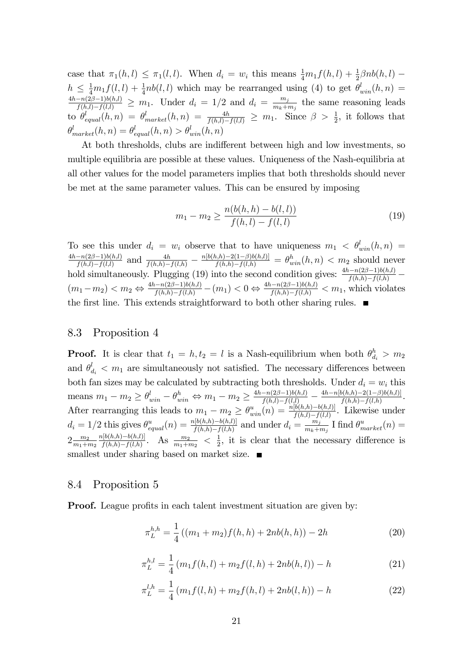case that  $\pi_1(h, l) \leq \pi_1(l, l)$ . When  $d_i = w_i$  this means  $\frac{1}{4}m_1f(h, l) + \frac{1}{2}\beta nb(h, l)$  $h \leq \frac{1}{4}m_1f(l, l) + \frac{1}{4}nb(l, l)$  which may be rearranged using (4) to get  $\theta_{win}^l(h, n) =$  $\frac{4h-n(2\beta-1)b(h,l)}{f(h,l)-f(l,l)} \geq m_1$ . Under  $d_i = 1/2$  and  $d_i = \frac{m_j}{m_k+1}$  $\frac{m_j}{m_k+m_j}$  the same reasoning leads to  $\theta_{equal}^l(h,n) = \theta_{market}^l(h,n) = \frac{4h}{f(h,l)-f(l,l)} \geq m_1$ . Since  $\beta > \frac{1}{2}$ , it follows that  $\theta^l_{market}(h,n) = \theta^l_{equal}(h,n) > \theta^l_{win}(h,n)$ 

At both thresholds, clubs are indifferent between high and low investments, so multiple equilibria are possible at these values. Uniqueness of the Nash-equilibria at all other values for the model parameters implies that both thresholds should never be met at the same parameter values. This can be ensured by imposing

$$
m_1 - m_2 \ge \frac{n(b(h, h) - b(l, l))}{f(h, l) - f(l, l)}
$$
\n(19)

To see this under  $d_i = w_i$  observe that to have uniqueness  $m_1 \, < \, \theta_{win}^l(h, n) =$  $\frac{4h-n(2\beta-1)b(h,l)}{h}$  $\frac{-n(2\beta-1)b(h,l)}{f(h,l)-f(l,l)}$  and  $\frac{4h}{f(h,h)-f(l,h)} - \frac{n[b(h,h)-2(1-\beta)b(h,l)]}{f(h,h)-f(l,h)} = \theta_{win}^h(h,n) < m_2$  should never hold simultaneously. Plugging (19) into the second condition gives:  $\frac{4h-n(2\beta-1)b(h,l)}{f(h,h)-f(l,h)}$  $(m_1 - m_2) < m_2 \Leftrightarrow \frac{4h - n(2\beta - 1)b(h,l)}{f(h,h) - f(l,h)} - (m_1) < 0 \Leftrightarrow \frac{4h - n(2\beta - 1)b(h,l)}{f(h,h) - f(l,h)} < m_1$ , which violates the first line. This extends straightforward to both other sharing rules.  $\blacksquare$ 

#### 8.3 Proposition 4

**Proof.** It is clear that  $t_1 = h, t_2 = l$  is a Nash-equilibrium when both  $\theta_{d_i}^h > m_2$ and  $\theta_{d_i}^l < m_1$  are simultaneously not satisfied. The necessary differences between both fan sizes may be calculated by subtracting both thresholds. Under  $d_i = w_i$  this means  $m_1 - m_2 \ge \theta_{win}^l - \theta_{win}^h \Leftrightarrow m_1 - m_2 \ge \frac{4h - n(2\beta - 1)b(h,l)}{f(h,l) - f(l,l)} - \frac{4h - n[b(h,h) - 2(1-\beta)b(h,l)]}{f(h,h) - f(l,h)}$  $\frac{f(h,h)-2(1-\beta)b(h,l)]}{f(h,h)-f(l,h)}$ . After rearranging this leads to  $m_1 - m_2 \geq \theta_{win}^u(n) = \frac{n[b(h,h)-b(h,l)]}{f(h,l)-f(l,l)}$ . Likewise under  $d_i = 1/2$  this gives  $\theta_{equal}^u(n) = \frac{n[b(h,h)-b(h,l)]}{f(h,h)-f(l,h)}$  and under  $d_i = \frac{m_j}{m_k+n}$  $\frac{m_j}{m_k+m_j}$  I find  $\theta^u_{market}(n) =$  $2\frac{m_2}{m_1+1}$  $\frac{m_2}{m_1+m_2}\frac{n[b(h,h){-}b(h,l)]}{f(h,h){-}f(l,h)}$  $\frac{h[b(h,h)-b(h,l)]}{f(h,h)-f(l,h)}$ . As  $\frac{m_2}{m_1+m_2} < \frac{1}{2}$  $\frac{1}{2}$ , it is clear that the necessary difference is smallest under sharing based on market size.

### 8.4 Proposition 5

**Proof.** League profits in each talent investment situation are given by:

$$
\pi_L^{h,h} = \frac{1}{4} ((m_1 + m_2)f(h, h) + 2nb(h, h)) - 2h \tag{20}
$$

$$
\pi_L^{h,l} = \frac{1}{4} \left( m_1 f(h,l) + m_2 f(l,h) + 2nb(h,l) \right) - h \tag{21}
$$

$$
\pi_L^{l,h} = \frac{1}{4} \left( m_1 f(l, h) + m_2 f(h, l) + 2nb(l, h) \right) - h \tag{22}
$$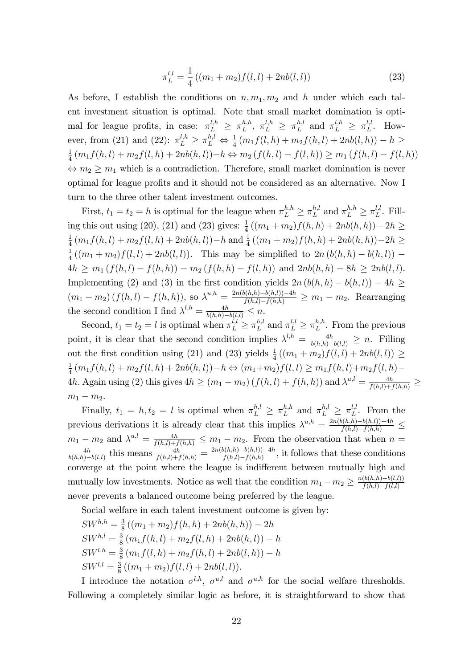$$
\pi_L^{l,l} = \frac{1}{4} \left( (m_1 + m_2) f(l, l) + 2nb(l, l) \right) \tag{23}
$$

As before, I establish the conditions on  $n, m_1, m_2$  and h under which each talent investment situation is optimal. Note that small market domination is optimal for league profits, in case:  $\pi_L^{l,h} \geq \pi_L^{h,h}$  $\frac{h,h}{L}, \pi_L^{l,h} \geq \pi_L^{h,l}$  $\int_{L}^{h,l}$  and  $\pi_L^{l,h} \geq \pi_L^{l,l}$  $\iota^{l,t}_{L}$ . However, from (21) and (22):  $\pi_L^{l,h} \ge \pi_L^{h,l} \Leftrightarrow \frac{1}{4} (m_1 f(l,h) + m_2 f(h,l) + 2nb(l,h)) - h \ge$ 1  $\frac{1}{4}(m_1f(h, l) + m_2f(l, h) + 2nb(h, l)) - h \Leftrightarrow m_2(f(h, l) - f(l, h)) \ge m_1(f(h, l) - f(l, h))$  $\Leftrightarrow m_2 \geq m_1$  which is a contradiction. Therefore, small market domination is never optimal for league profits and it should not be considered as an alternative. Now I turn to the three other talent investment outcomes.

First,  $t_1 = t_2 = h$  is optimal for the league when  $\pi_L^{h,h} \geq \pi_L^{h,h}$  $_{L}^{h,l}$  and  $\pi_{L}^{h,h} \geq \pi_{L}^{l,l}$  $L^{l,l}$ . Filling this out using (20), (21) and (23) gives:  $\frac{1}{4}((m_1 + m_2)f(h, h) + 2nb(h, h)) - 2h \ge$ 1  $\frac{1}{4}(m_1f(h, l) + m_2f(l, h) + 2nb(h, l)) - h$  and  $\frac{1}{4}((m_1 + m_2)f(h, h) + 2nb(h, h)) - 2h \ge$ 1  $\frac{1}{4}((m_1+m_2)f(l,l)+2nb(l,l))$ . This may be simplified to  $2n(b(h,h)-b(h,l))$  - $4h \geq m_1 (f(h, l) - f(h, h)) - m_2 (f(h, h) - f(l, h))$  and  $2nb(h, h) - 8h \geq 2nb(l, l).$ Implementing (2) and (3) in the first condition yields  $2n (b(h, h) - b(h, l)) - 4h$  $(m_1 - m_2) (f(h, l) - f(h, h)),$  so  $\lambda^{u, h} = \frac{2n(b(h, h) - b(h, l)) - 4h}{f(h, l) - f(h, h)} \ge m_1 - m_2$ . Rearranging the second condition I find  $\lambda^{l,h} = \frac{4h}{b(h,h)-b(l,l)} \leq n$ .

Second,  $t_1 = t_2 = l$  is optimal when  $\pi_L^{l,l} \geq \pi_L^{h,l}$  $L^{h,l}$  and  $\pi_L^{l,l} \geq \pi_L^{h,h}$  $L^{n,n}$ . From the previous point, it is clear that the second condition implies  $\lambda^{l,h} = \frac{4h}{b(h,h)-b(l,l)} \geq n$ . Filling out the first condition using (21) and (23) yields  $\frac{1}{4}((m_1 + m_2)f(l, l) + 2nb(l, l)) \ge$ 1  $\frac{1}{4}(m_1f(h, l) + m_2f(l, h) + 2nb(h, l)) - h \Leftrightarrow (m_1+m_2)f(l, l) \geq m_1f(h, l) + m_2f(l, h) -$ 4h. Again using (2) this gives  $4h \ge (m_1 - m_2) (f(h, l) + f(h, h))$  and  $\lambda^{u, l} = \frac{4h}{f(h, l) + f(h, h)} \ge$  $m_1 - m_2$ .

Finally,  $t_1 = h, t_2 = l$  is optimal when  $\pi_L^{h,l} \geq \pi_L^{h,h}$  $\mathbb{Z}_L^{h,h}$  and  $\pi_L^{h,l} \geq \pi_L^{l,l}$  $L^{l,l}$ . From the previous derivations it is already clear that this implies  $\lambda^{u,h} = \frac{2n(b(h,h)-b(h,l))-4h}{f(h,l)-f(h,h)} \leq$  $m_1 - m_2$  and  $\lambda^{u,l} = \frac{4h}{f(h,l)+f(h,h)} \leq m_1 - m_2$ . From the observation that when  $n =$ 4h  $\frac{4h}{b(h,h)-b(l,l)}$  this means  $\frac{4h}{f(h,l)+f(h,h)} = \frac{2n(b(h,h)-b(h,l))-4h}{f(h,l)-f(h,h)}$  $\frac{f(h,h)-b(h,l)) - 4h}{f(h,l)-f(h,h)},$  it follows that these conditions converge at the point where the league is indifferent between mutually high and mutually low investments. Notice as well that the condition  $m_1 - m_2 \ge \frac{n(b(h,h)-b(l,l))}{f(h,l)-f(l,l)}$  $f(h,l) - f(l,l)$ never prevents a balanced outcome being preferred by the league.

Social welfare in each talent investment outcome is given by:

$$
SW^{h,h} = \frac{3}{8} ((m_1 + m_2) f(h, h) + 2nb(h, h)) - 2h
$$
  
\n
$$
SW^{h,l} = \frac{3}{8} (m_1 f(h, l) + m_2 f(l, h) + 2nb(h, l)) - h
$$
  
\n
$$
SW^{l,h} = \frac{3}{8} (m_1 f(l, h) + m_2 f(h, l) + 2nb(l, h)) - h
$$
  
\n
$$
SW^{l,l} = \frac{3}{8} ((m_1 + m_2) f(l, l) + 2nb(l, l)).
$$

I introduce the notation  $\sigma^{l,h}$ ,  $\sigma^{u,l}$  and  $\sigma^{u,h}$  for the social welfare thresholds. Following a completely similar logic as before, it is straightforward to show that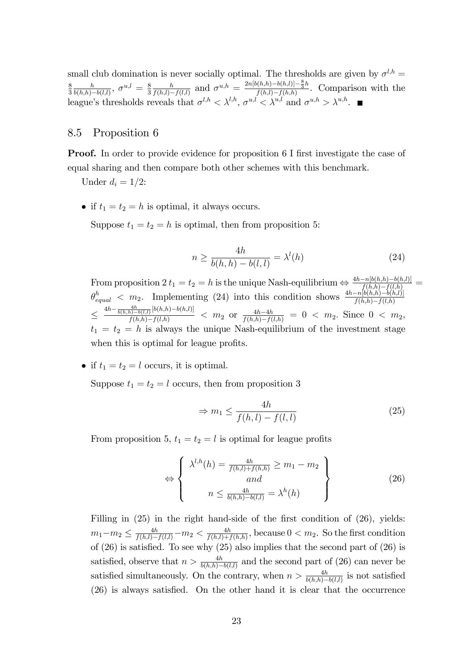small club domination is never socially optimal. The thresholds are given by  $\sigma^{l,h} =$ 8 3 h  $\frac{h}{b(h,h)-b(l,l)}, \; \sigma^{u,l} \,=\, \frac{8}{3}$ 3 h  $\frac{h}{f(h,l)-f(l,l)}$  and  $\sigma^{u,h} = \frac{2n[b(h,h)-b(h,l)]-\frac{8}{3}h}{f(h,l)-f(h,h)}$  $\frac{f(h,l)-f(h,l)}{f(h,l)-f(h,h)}$ . Comparison with the league's thresholds reveals that  $\sigma^{l,h} < \lambda^{l,h}$ ,  $\sigma^{u,l} < \lambda^{u,l}$  and  $\sigma^{u,h} > \lambda^{u,h}$ .

## 8.5 Proposition 6

**Proof.** In order to provide evidence for proposition 6 I first investigate the case of equal sharing and then compare both other schemes with this benchmark.

Under  $d_i = 1/2$ :

• if  $t_1 = t_2 = h$  is optimal, it always occurs.

Suppose  $t_1 = t_2 = h$  is optimal, then from proposition 5:

$$
n \ge \frac{4h}{b(h,h) - b(l,l)} = \lambda^l(h) \tag{24}
$$

From proposition  $2 t_1 = t_2 = h$  is the unique Nash-equilibrium  $\Leftrightarrow \frac{4h - n[b(h,h) - b(h,l)]}{f(h,h) - f(l,h)}$  $\theta_{equal}^h$  < m<sub>2</sub>. Implementing (24) into this condition shows  $\frac{4h-n[b(h,h)-b(h,l)]}{f(h,h)-f(l,h)}$  $\leq$  $\frac{4h - \frac{4h}{b(h,h)-b(l,l)}[b(h,h)-b(h,l)]}{f(h,h)-f(l,h)}$  <  $m_2$  or  $\frac{4h-4h}{f(h,h)-f(l,h)}$  = 0 <  $m_2$ . Since 0 <  $m_2$ ,  $t_1 = t_2 = h$  is always the unique Nash-equilibrium of the investment stage when this is optimal for league profits.

• if  $t_1 = t_2 = l$  occurs, it is optimal.

Suppose  $t_1 = t_2 = l$  occurs, then from proposition 3

$$
\Rightarrow m_1 \le \frac{4h}{f(h,l) - f(l,l)}\tag{25}
$$

From proposition 5,  $t_1 = t_2 = l$  is optimal for league profits

$$
\Leftrightarrow \left\{\n\begin{array}{c}\n\lambda^{l,h}(h) = \frac{4h}{f(h,l) + f(h,h)} \ge m_1 - m_2 \\
and \\
n \le \frac{4h}{b(h,h) - b(l,l)} = \lambda^h(h)\n\end{array}\n\right\} \tag{26}
$$

Filling in  $(25)$  in the right hand-side of the first condition of  $(26)$ , yields:  $m_1-m_2 \leq \frac{4h}{f(h,l)-f(l,l)}-m_2 < \frac{4h}{f(h,l)+1}$  $\frac{4h}{f(h,l)+f(h,h)},$  because  $0 < m_2$ . So the first condition of  $(26)$  is satisfied. To see why  $(25)$  also implies that the second part of  $(26)$  is satisfied, observe that  $n > \frac{4h}{b(h,h)-b(l,l)}$  and the second part of (26) can never be satisfied simultaneously. On the contrary, when  $n > \frac{4h}{b(h,h)-b(l,l)}$  is not satisfied  $(26)$  is always satisfied. On the other hand it is clear that the occurrence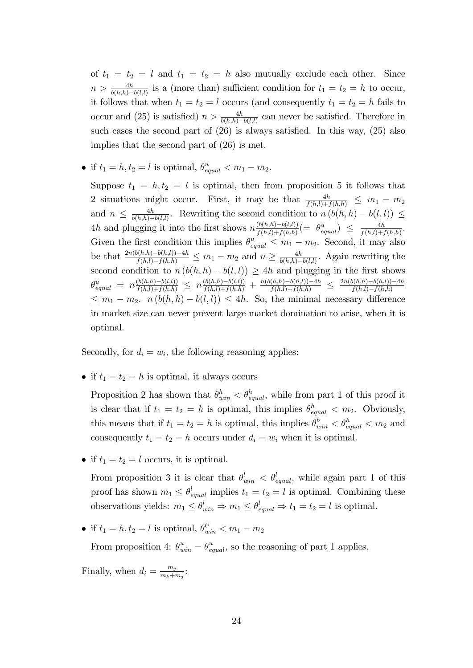of  $t_1 = t_2 = l$  and  $t_1 = t_2 = h$  also mutually exclude each other. Since  $n > \frac{4h}{b(h,h)-b(l,l)}$  is a (more than) sufficient condition for  $t_1 = t_2 = h$  to occur, it follows that when  $t_1 = t_2 = l$  occurs (and consequently  $t_1 = t_2 = h$  fails to occur and (25) is satisfied)  $n > \frac{4h}{b(h,h)-b(l,l)}$  can never be satisfied. Therefore in such cases the second part of  $(26)$  is always satisfied. In this way,  $(25)$  also implies that the second part of (26) is met.

• if  $t_1 = h, t_2 = l$  is optimal,  $\theta_{equal}^u < m_1 - m_2$ .

Suppose  $t_1 = h, t_2 = l$  is optimal, then from proposition 5 it follows that 2 situations might occur. First, it may be that  $\frac{4h}{f(h,l)+f(h,h)} \leq m_1 - m_2$ and  $n \leq \frac{4h}{b(h,h)-}$  $\frac{4h}{b(h,h)-b(l,l)}$ . Rewriting the second condition to  $n (b(h,h) - b(l,l)) \leq$ 4h and plugging it into the first shows  $n \frac{(b(h,h)-b(l,l))}{f(h,l)+f(h,h)}(= \theta^u_{equal}) \leq \frac{4h}{f(h,l)+f(h,h)}$  $\frac{4h}{f(h,l)+f(h,h)}$ . Given the first condition this implies  $\theta_{equal}^u \leq m_1 - m_2$ . Second, it may also be that  $\frac{2n(b(h,h)-b(h,l))-4h}{f(h,l)-f(h,h)} \leq m_1 - m_2$  and  $n \geq \frac{4h}{b(h,h)-4h}$  $\frac{4h}{b(h,h)-b(l,l)}$ . Again rewriting the second condition to  $n (b(h, h) - b(l, l)) \geq 4h$  and plugging in the first shows  $\theta_{equal}^u = n \frac{(b(h,h)-b(l,l))}{f(h,l)+f(h,h)} \leq n \frac{(b(h,h)-b(l,l))}{f(h,l)+f(h,h)} + \frac{n(b(h,h)-b(h,l))-4h}{f(h,l)-f(h,h)} \leq \frac{2n(b(h,h)-b(h,l))-4h}{f(h,l)-f(h,h)}$  $f(h,l)-f(h,h)$  $\leq m_1 - m_2$ .  $n (b(h, h) - b(l, l)) \leq 4h$ . So, the minimal necessary difference in market size can never prevent large market domination to arise, when it is optimal.

Secondly, for  $d_i = w_i$ , the following reasoning applies:

• if  $t_1 = t_2 = h$  is optimal, it always occurs

Proposition 2 has shown that  $\theta_{win}^h < \theta_{equal}^h$ , while from part 1 of this proof it is clear that if  $t_1 = t_2 = h$  is optimal, this implies  $\theta_{equal}^h < m_2$ . Obviously, this means that if  $t_1 = t_2 = h$  is optimal, this implies  $\theta_{win}^h < \theta_{equal}^h < m_2$  and consequently  $t_1 = t_2 = h$  occurs under  $d_i = w_i$  when it is optimal.

• if  $t_1 = t_2 = l$  occurs, it is optimal.

From proposition 3 it is clear that  $\theta_{win}^l < \theta_{equal}^l$ , while again part 1 of this proof has shown  $m_1 \leq \theta_{equal}^l$  implies  $t_1 = t_2 = l$  is optimal. Combining these observations yields:  $m_1 \leq \theta_{win}^l \Rightarrow m_1 \leq \theta_{equal}^l \Rightarrow t_1 = t_2 = l$  is optimal.

• if  $t_1 = h, t_2 = l$  is optimal,  $\theta_{win}^U < m_1 - m_2$ 

From proposition 4:  $\theta_{win}^u = \theta_{equal}^u$ , so the reasoning of part 1 applies.

Finally, when  $d_i = \frac{m_j}{m_i + n_i}$  $\frac{m_j}{m_k+m_j}$ :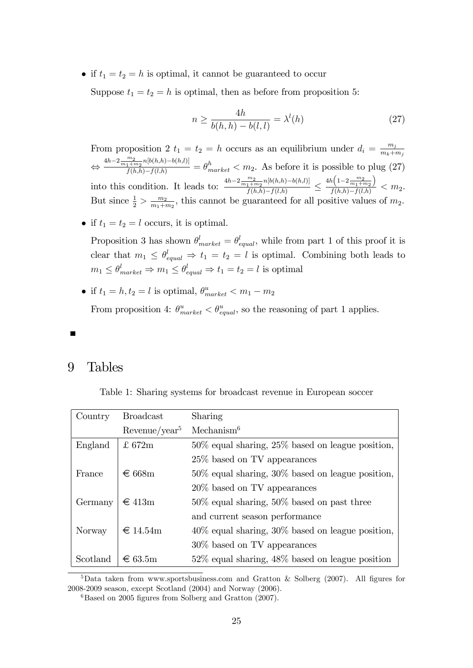• if  $t_1 = t_2 = h$  is optimal, it cannot be guaranteed to occur

Suppose  $t_1 = t_2 = h$  is optimal, then as before from proposition 5:

$$
n \ge \frac{4h}{b(h,h) - b(l,l)} = \lambda^l(h) \tag{27}
$$

From proposition 2  $t_1 = t_2 = h$  occurs as an equilibrium under  $d_i = \frac{m_j}{m_i + 1}$  $m_k+m_j$  $\Leftrightarrow$  $\frac{4h-2\frac{m_2}{m_1+m_2}n[b(h,h)-b(h,l)]}{f(h,h)-f(l,h)} = \theta_{market}^h < m_2.$  As before it is possible to plug (27) into this condition. It leads to:  $\frac{4h-2\frac{m_2}{m_1+m_2}n[b(h,h)-b(h,l)]}{f(h,h)-f(l,h)}$  $\frac{f(h,h)-f(l,h)}{f(h,h)-f(l,h)}$  $4h\left(1\!-\!2\frac{m_2}{m_1+m_2}\right.$  $\setminus$  $\frac{f(-1)^m_1+m_2}{f(h,h)-f(l,h)} < m_2.$ But since  $\frac{1}{2} > \frac{m_2}{m_1+n_2}$  $\frac{m_2}{m_1+m_2}$ , this cannot be guaranteed for all positive values of  $m_2$ .

• if  $t_1 = t_2 = l$  occurs, it is optimal.

Proposition 3 has shown  $\theta_{market}^l = \theta_{equal}^l$ , while from part 1 of this proof it is clear that  $m_1 \leq \theta_{equal}^l \Rightarrow t_1 = t_2 = l$  is optimal. Combining both leads to  $m_1 \leq \theta_{market}^l \Rightarrow m_1 \leq \theta_{equal}^l \Rightarrow t_1 = t_2 = l$  is optimal

• if  $t_1 = h, t_2 = l$  is optimal,  $\theta_{market}^{u} < m_1 - m_2$ From proposition 4:  $\theta_{market}^{u} < \theta_{equal}^{u}$ , so the reasoning of part 1 applies.

## 9 Tables

Table 1: Sharing systems for broadcast revenue in European soccer

| Country  | <b>Broadcast</b>              | Sharing                                                |
|----------|-------------------------------|--------------------------------------------------------|
|          | Revenue/year <sup>5</sup>     | Mechanism <sup>6</sup>                                 |
| England  | £ 672m                        | $50\%$ equal sharing, $25\%$ based on league position, |
|          |                               | 25\% based on TV appearances                           |
| France   | $\epsilon$ 668m               | $50\%$ equal sharing, $30\%$ based on league position, |
|          |                               | 20\% based on TV appearances                           |
| Germany  | $\epsilon$ 413m               | $50\%$ equal sharing, $50\%$ based on past three       |
|          |                               | and current season performance                         |
| Norway   | $\text{ } \in 14.54 \text{m}$ | $40\%$ equal sharing, $30\%$ based on league position, |
|          |                               | 30\% based on TV appearances                           |
| Scotland | $\epsilon$ 63.5m              | $52\%$ equal sharing, $48\%$ based on league position  |

<sup>5</sup>Data taken from www.sportsbusiness.com and Gratton & Solberg (2007). All figures for 2008-2009 season, except Scotland (2004) and Norway (2006).

 ${}^{6}$ Based on 2005 figures from Solberg and Gratton (2007).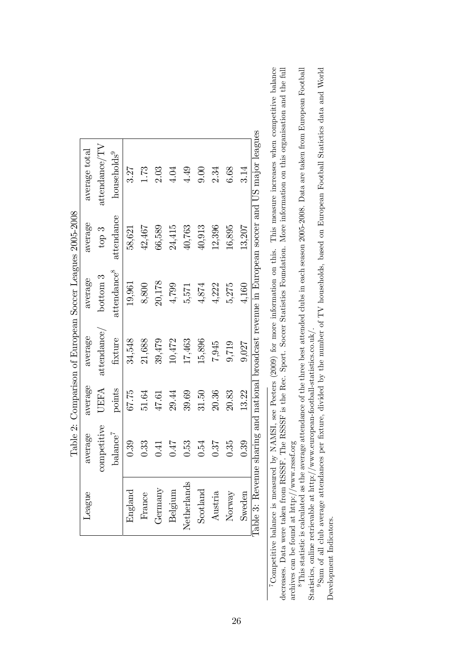|                                                          | average total | attendance/TV | households <sup>9</sup> | 3.27    | 1.73   | 2.03    | 4.04    | 4.49        | 0.00     | 2.34    | 6.68   | 3.14   | Table 3: Revenue sharing and national broadcast revenue in European soccer and US major leagues |
|----------------------------------------------------------|---------------|---------------|-------------------------|---------|--------|---------|---------|-------------|----------|---------|--------|--------|-------------------------------------------------------------------------------------------------|
|                                                          | average       | top $3$       | attendance              | 58,621  | 42,467 | 66,589  | 24,415  | 40,763      | 40,913   | 12,396  | 16,895 | 13,207 |                                                                                                 |
| Table 2: Comparison of European Soccer Leagues 2005-2008 | average       | bottom 3      | attendance <sup>8</sup> | 19,961  | 8,800  | 20,178  | 4,799   | 5,571       | 4,874    | 4,222   | 5,275  | 4,160  |                                                                                                 |
|                                                          | average       | attendance/   | fixture                 | 34,548  | 21,688 | 39,479  | 10,472  | 17,463      | 15,896   | 7,945   | 9,719  | 9,027  |                                                                                                 |
|                                                          | average       | UEFA          | points                  | 67.75   | 51.64  | 47.61   | 29.44   | 39.69       | 31.50    | 20.36   | 20.83  | 13.22  |                                                                                                 |
|                                                          | average       | competitive   | $\mathrm{balance}^7$    | 0.39    | 0.33   | 0.41    | 0.47    | 0.53        | 0.54     | 0.87    | 0.35   | 0.39   |                                                                                                 |
|                                                          | League        |               |                         | England | France | Germany | Belgium | Netherlands | Scotland | Austria | Norway | Sweden |                                                                                                 |

<sup>7</sup>Competitive balance is measured by NAMSI, see Peeters (2009) for more information on this. This measure increases when competitive balance 7Competitive balance is measured by NAMSI, see Peeters (2009) for more information on this. This measure increases when competitive balance

decreases. Data were taken from RSSSF. The RSSSF is the Rec. Sport. Soccer Statistics Foundation. More information on this organisation and the full decreases. Data were taken from RSSSF. The RSSSF is the Rec. Sport. Soccer Statistics Foundation. More information on this organisation and the full archives can be found at http://www.rsssf.org archives can be found at http://www.rsssf.org

 ${}^8$ This statistic is calculated as the average attendance of the three best attended clubs in each season 2005-2008. Data are taken from European Football <sup>8</sup>This statistic is calculated as the average attendance of the three best attended clubs in each season 2005-2008. Data are taken from European Football Statistics, online retrievable at http://www.european-football-statistics.co.uk/. Statistics, online retrievable at http://www.european-football-statistics.co.uk/.

9Sum of all club average attendances per fixture, divided by the number of TV households, based on European Football Statictics data and World 9Sum of all club average attendances per Öxture, divided by the number of TV households, based on European Football Statictics data and World Development Indicators. Development Indicators.